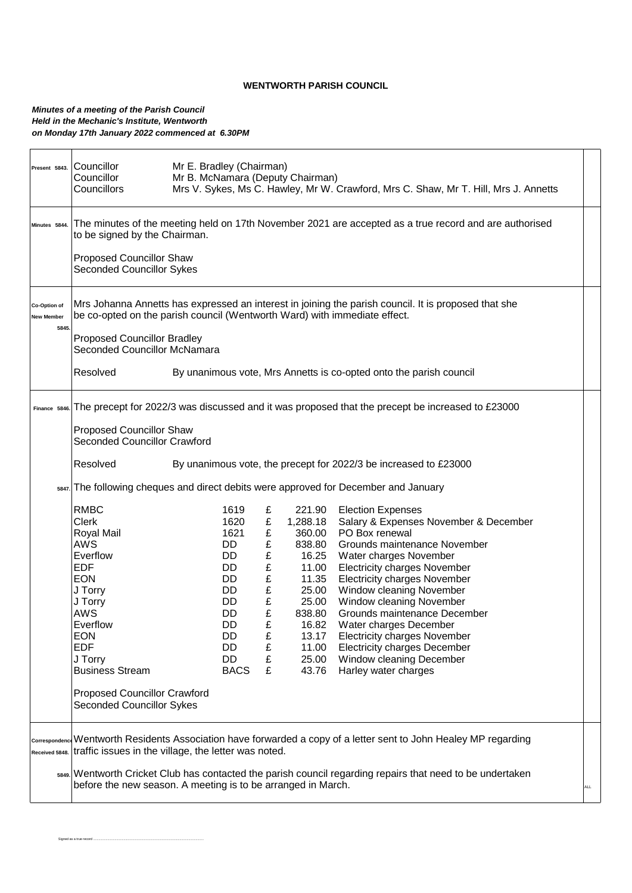## **WENTWORTH PARISH COUNCIL**

## *Minutes of a meeting of the Parish Council Held in the Mechanic's Institute, Wentworth on Monday 17th January 2022 commenced at 6.30PM*

Signed as a true record ............................................................................................................................

| Present 5843.                             | Mr E. Bradley (Chairman)<br>Councillor<br>Councillor<br>Mr B. McNamara (Deputy Chairman)<br>Councillors<br>Mrs V. Sykes, Ms C. Hawley, Mr W. Crawford, Mrs C. Shaw, Mr T. Hill, Mrs J. Annetts                                                                                              |                                                                                                          |                                                                                                                    |                                                                                                                        |                                                                                                                                                                                                                                                                                                                                                                                                                                                                                        |  |  |  |  |
|-------------------------------------------|---------------------------------------------------------------------------------------------------------------------------------------------------------------------------------------------------------------------------------------------------------------------------------------------|----------------------------------------------------------------------------------------------------------|--------------------------------------------------------------------------------------------------------------------|------------------------------------------------------------------------------------------------------------------------|----------------------------------------------------------------------------------------------------------------------------------------------------------------------------------------------------------------------------------------------------------------------------------------------------------------------------------------------------------------------------------------------------------------------------------------------------------------------------------------|--|--|--|--|
| Minutes 5844.                             | The minutes of the meeting held on 17th November 2021 are accepted as a true record and are authorised<br>to be signed by the Chairman.                                                                                                                                                     |                                                                                                          |                                                                                                                    |                                                                                                                        |                                                                                                                                                                                                                                                                                                                                                                                                                                                                                        |  |  |  |  |
|                                           | Proposed Councillor Shaw<br><b>Seconded Councillor Sykes</b>                                                                                                                                                                                                                                |                                                                                                          |                                                                                                                    |                                                                                                                        |                                                                                                                                                                                                                                                                                                                                                                                                                                                                                        |  |  |  |  |
| Co-Option of<br><b>New Member</b><br>5845 | Mrs Johanna Annetts has expressed an interest in joining the parish council. It is proposed that she<br>be co-opted on the parish council (Wentworth Ward) with immediate effect.                                                                                                           |                                                                                                          |                                                                                                                    |                                                                                                                        |                                                                                                                                                                                                                                                                                                                                                                                                                                                                                        |  |  |  |  |
|                                           | <b>Proposed Councillor Bradley</b><br><b>Seconded Councillor McNamara</b>                                                                                                                                                                                                                   |                                                                                                          |                                                                                                                    |                                                                                                                        |                                                                                                                                                                                                                                                                                                                                                                                                                                                                                        |  |  |  |  |
|                                           | Resolved<br>By unanimous vote, Mrs Annetts is co-opted onto the parish council                                                                                                                                                                                                              |                                                                                                          |                                                                                                                    |                                                                                                                        |                                                                                                                                                                                                                                                                                                                                                                                                                                                                                        |  |  |  |  |
|                                           | Finance 5846. The precept for 2022/3 was discussed and it was proposed that the precept be increased to £23000                                                                                                                                                                              |                                                                                                          |                                                                                                                    |                                                                                                                        |                                                                                                                                                                                                                                                                                                                                                                                                                                                                                        |  |  |  |  |
|                                           | Proposed Councillor Shaw<br>Seconded Councillor Crawford                                                                                                                                                                                                                                    |                                                                                                          |                                                                                                                    |                                                                                                                        |                                                                                                                                                                                                                                                                                                                                                                                                                                                                                        |  |  |  |  |
|                                           | Resolved<br>By unanimous vote, the precept for 2022/3 be increased to £23000                                                                                                                                                                                                                |                                                                                                          |                                                                                                                    |                                                                                                                        |                                                                                                                                                                                                                                                                                                                                                                                                                                                                                        |  |  |  |  |
|                                           | sa47. The following cheques and direct debits were approved for December and January                                                                                                                                                                                                        |                                                                                                          |                                                                                                                    |                                                                                                                        |                                                                                                                                                                                                                                                                                                                                                                                                                                                                                        |  |  |  |  |
|                                           | <b>RMBC</b><br><b>Clerk</b><br>Royal Mail<br><b>AWS</b><br>Everflow<br><b>EDF</b><br><b>EON</b><br>J Torry<br>J Torry<br><b>AWS</b><br>Everflow<br><b>EON</b><br><b>EDF</b><br>J Torry<br><b>Business Stream</b><br><b>Proposed Councillor Crawford</b><br><b>Seconded Councillor Sykes</b> | 1619<br>1620<br>1621<br>DD<br>DD<br>DD.<br>DD<br>DD.<br>DD.<br>DD<br>DD<br>DD<br>DD<br>DD<br><b>BACS</b> | £<br>£<br>$\pounds$<br>£<br>£<br>$\pmb{\mathfrak{L}}$<br>$\pounds$<br>£<br>$\pounds$<br>£<br>£<br>£<br>£<br>£<br>£ | 1,288.18<br>838.80<br>16.25<br>11.00<br>11.35<br>25.00<br>25.00<br>838.80<br>16.82<br>13.17<br>11.00<br>25.00<br>43.76 | 221.90 Election Expenses<br>Salary & Expenses November & December<br>360.00 PO Box renewal<br>Grounds maintenance November<br>Water charges November<br><b>Electricity charges November</b><br><b>Electricity charges November</b><br>Window cleaning November<br>Window cleaning November<br>Grounds maintenance December<br>Water charges December<br><b>Electricity charges November</b><br><b>Electricity charges December</b><br>Window cleaning December<br>Harley water charges |  |  |  |  |
| Received 5848.                            | correspondence Wentworth Residents Association have forwarded a copy of a letter sent to John Healey MP regarding<br>traffic issues in the village, the letter was noted.                                                                                                                   |                                                                                                          |                                                                                                                    |                                                                                                                        |                                                                                                                                                                                                                                                                                                                                                                                                                                                                                        |  |  |  |  |
|                                           | 5849. Wentworth Cricket Club has contacted the parish council regarding repairs that need to be undertaken<br>before the new season. A meeting is to be arranged in March.<br>ALL                                                                                                           |                                                                                                          |                                                                                                                    |                                                                                                                        |                                                                                                                                                                                                                                                                                                                                                                                                                                                                                        |  |  |  |  |